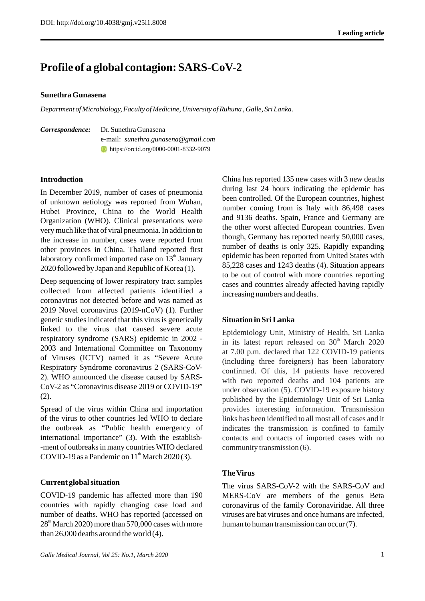# **Profile of a global contagion: SARS-CoV-2**

## **Sunethra Gunasena**

*Department of Microbiology, Faculty of Medicine, University of Ruhuna , Galle, Sri Lanka.* 

*Correspondence:*Dr. Sunethra Gunasena e-mail: *sunethra.gunasena@gmail.com* https://orcid.org/0000-0001-8332-9079

# **Introduction**

In December 2019, number of cases of pneumonia of unknown aetiology was reported from Wuhan, Hubei Province, China to the World Health Organization (WHO). Clinical presentations were very much like that of viral pneumonia. In addition to the increase in number, cases were reported from other provinces in China. Thailand reported first laboratory confirmed imported case on  $13<sup>th</sup>$  January 2020 followed by Japan and Republic of Korea (1).

Deep sequencing of lower respiratory tract samples collected from affected patients identified a coronavirus not detected before and was named as 2019 Novel coronavirus (2019-nCoV) (1). Further genetic studies indicated that this virus is genetically linked to the virus that caused severe acute respiratory syndrome (SARS) epidemic in 2002 - 2003 and International Committee on Taxonomy of Viruses (ICTV) named it as "Severe Acute Respiratory Syndrome coronavirus 2 (SARS-CoV-2). WHO announced the disease caused by SARS-CoV-2 as "Coronavirus disease 2019 or COVID-19" (2).

Spread of the virus within China and importation of the virus to other countries led WHO to declare the outbreak as "Public health emergency of international importance" (3). With the establish- -ment of outbreaks in many countries WHO declared COVID-19 as a Pandemic on  $11<sup>th</sup>$  March 2020 (3).

# **Current global situation**

COVID-19 pandemic has affected more than 190 countries with rapidly changing case load and number of deaths. WHO has reported (accessed on  $28<sup>th</sup>$  March 2020) more than 570,000 cases with more than 26,000 deaths around the world (4).

China has reported 135 new cases with 3 new deaths during last 24 hours indicating the epidemic has been controlled. Of the European countries, highest number coming from is Italy with 86,498 cases and 9136 deaths. Spain, France and Germany are the other worst affected European countries. Even though, Germany has reported nearly 50,000 cases, number of deaths is only 325. Rapidly expanding epidemic has been reported from United States with 85,228 cases and 1243 deaths (4). Situation appears to be out of control with more countries reporting cases and countries already affected having rapidly increasing numbers and deaths.

# **Situation in Sri Lanka**

Epidemiology Unit, Ministry of Health, Sri Lanka in its latest report released on  $30<sup>th</sup>$  March 2020 at 7.00 p.m. declared that 122 COVID-19 patients (including three foreigners) has been laboratory confirmed. Of this, 14 patients have recovered with two reported deaths and 104 patients are under observation (5). COVID-19 exposure history published by the Epidemiology Unit of Sri Lanka provides interesting information. Transmission links has been identified to all most all of cases and it indicates the transmission is confined to family contacts and contacts of imported cases with no community transmission (6).

# **The Virus**

The virus SARS-CoV-2 with the SARS-CoV and MERS-CoV are members of the genus Beta coronavirus of the family Coronaviridae. All three viruses are bat viruses and once humans are infected, human to human transmission can occur (7).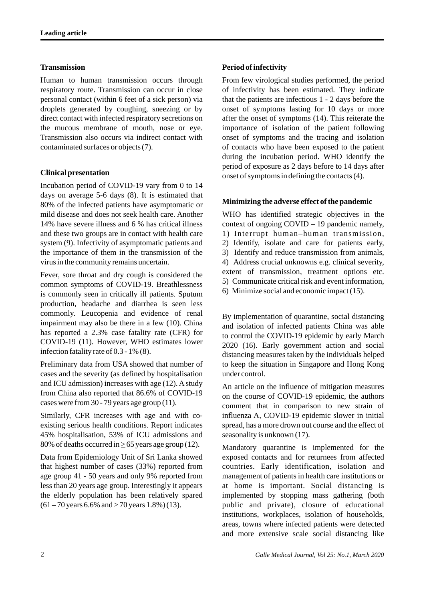## **Transmission**

Human to human transmission occurs through respiratory route. Transmission can occur in close personal contact (within 6 feet of a sick person) via droplets generated by coughing, sneezing or by direct contact with infected respiratory secretions on the mucous membrane of mouth, nose or eye. Transmission also occurs via indirect contact with contaminated surfaces or objects (7).

# **Clinical presentation**

Incubation period of COVID-19 vary from 0 to 14 days on average 5-6 days (8). It is estimated that 80% of the infected patients have asymptomatic or mild disease and does not seek health care. Another 14% have severe illness and 6 % has critical illness and these two groups are in contact with health care system (9). Infectivity of asymptomatic patients and the importance of them in the transmission of the virus in the community remains uncertain.

Fever, sore throat and dry cough is considered the common symptoms of COVID-19. Breathlessness is commonly seen in critically ill patients. Sputum production, headache and diarrhea is seen less commonly. Leucopenia and evidence of renal impairment may also be there in a few (10). China has reported a 2.3% case fatality rate (CFR) for COVID-19 (11). However, WHO estimates lower infection fatality rate of 0.3 - 1% (8).

Preliminary data from USA showed that number of cases and the severity (as defined by hospitalisation and ICU admission) increases with age (12). Astudy from China also reported that 86.6% of COVID-19 cases were from 30 - 79 years age group (11).

Similarly, CFR increases with age and with coexisting serious health conditions. Report indicates 45% hospitalisation, 53% of ICU admissions and 80% of deaths occurred in  $\geq$  65 years age group (12).

Data from Epidemiology Unit of Sri Lanka showed that highest number of cases (33%) reported from age group 41 - 50 years and only 9% reported from less than 20 years age group. Interestingly it appears the elderly population has been relatively spared  $(61 - 70$  years 6.6% and  $> 70$  years 1.8%) (13).

# **Period of infectivity**

From few virological studies performed, the period of infectivity has been estimated. They indicate that the patients are infectious 1 - 2 days before the onset of symptoms lasting for 10 days or more after the onset of symptoms (14). This reiterate the importance of isolation of the patient following onset of symptoms and the tracing and isolation of contacts who have been exposed to the patient during the incubation period. WHO identify the period of exposure as 2 days before to 14 days after onset of symptoms in defining the contacts (4).

#### **Minimizing the adverse effect of the pandemic**

WHO has identified strategic objectives in the context of ongoing COVID – 19 pandemic namely, 1) Interrupt human–human transmission, 2) Identify, isolate and care for patients early, 3) Identify and reduce transmission from animals, 4) Address crucial unknowns e.g. clinical severity, extent of transmission, treatment options etc. 5) Communicate critical risk and event information, 6) Minimize social and economic impact (15).

By implementation of quarantine, social distancing and isolation of infected patients China was able to control the COVID-19 epidemic by early March 2020 (16). Early government action and social distancing measures taken by the individuals helped to keep the situation in Singapore and Hong Kong under control.

An article on the influence of mitigation measures on the course of COVID-19 epidemic, the authors comment that in comparison to new strain of influenza A, COVID-19 epidemic slower in initial spread, has a more drown out course and the effect of seasonality is unknown (17).

Mandatory quarantine is implemented for the exposed contacts and for returnees from affected countries. Early identification, isolation and management of patients in health care institutions or at home is important. Social distancing is implemented by stopping mass gathering (both public and private), closure of educational institutions, workplaces, isolation of households, areas, towns where infected patients were detected and more extensive scale social distancing like